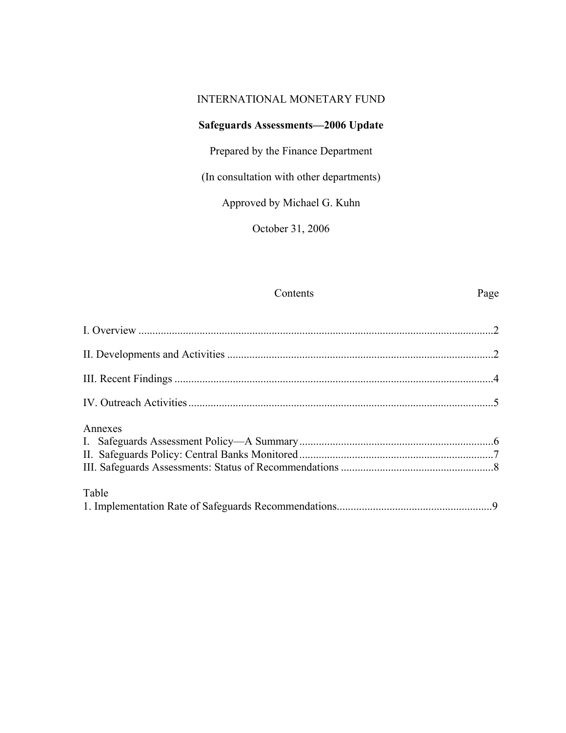### INTERNATIONAL MONETARY FUND

# **Safeguards Assessments—2006 Update**

Prepared by the Finance Department

(In consultation with other departments)

Approved by Michael G. Kuhn

October 31, 2006

# Contents Page

| Annexes |  |
|---------|--|
| Table   |  |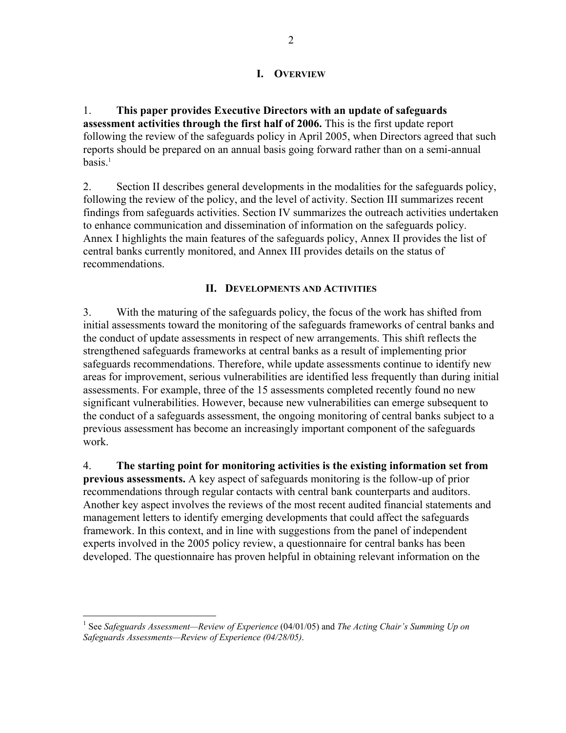### **I. OVERVIEW**

1. **This paper provides Executive Directors with an update of safeguards assessment activities through the first half of 2006.** This is the first update report following the review of the safeguards policy in April 2005, when Directors agreed that such reports should be prepared on an annual basis going forward rather than on a semi-annual  $basis.<sup>1</sup>$ 

2. Section II describes general developments in the modalities for the safeguards policy, following the review of the policy, and the level of activity. Section III summarizes recent findings from safeguards activities. Section IV summarizes the outreach activities undertaken to enhance communication and dissemination of information on the safeguards policy. Annex I highlights the main features of the safeguards policy, Annex II provides the list of central banks currently monitored, and Annex III provides details on the status of recommendations.

### **II. DEVELOPMENTS AND ACTIVITIES**

3. With the maturing of the safeguards policy, the focus of the work has shifted from initial assessments toward the monitoring of the safeguards frameworks of central banks and the conduct of update assessments in respect of new arrangements. This shift reflects the strengthened safeguards frameworks at central banks as a result of implementing prior safeguards recommendations. Therefore, while update assessments continue to identify new areas for improvement, serious vulnerabilities are identified less frequently than during initial assessments. For example, three of the 15 assessments completed recently found no new significant vulnerabilities. However, because new vulnerabilities can emerge subsequent to the conduct of a safeguards assessment, the ongoing monitoring of central banks subject to a previous assessment has become an increasingly important component of the safeguards work.

4. **The starting point for monitoring activities is the existing information set from previous assessments.** A key aspect of safeguards monitoring is the follow-up of prior recommendations through regular contacts with central bank counterparts and auditors. Another key aspect involves the reviews of the most recent audited financial statements and management letters to identify emerging developments that could affect the safeguards framework. In this context, and in line with suggestions from the panel of independent experts involved in the 2005 policy review, a questionnaire for central banks has been developed. The questionnaire has proven helpful in obtaining relevant information on the

 $\overline{a}$ 

<sup>1</sup> See *Safeguards Assessment—Review of Experience* (04/01/05) and *The Acting Chair's Summing Up on Safeguards Assessments—Review of Experience (04/28/05)*.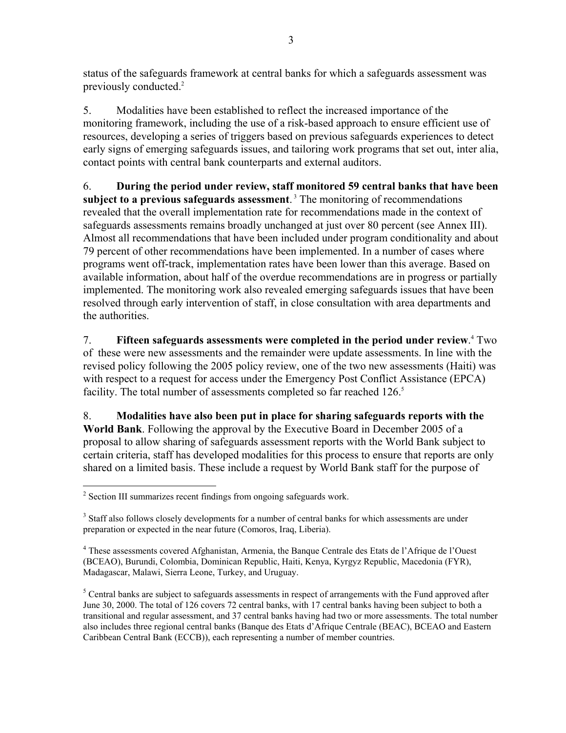status of the safeguards framework at central banks for which a safeguards assessment was previously conducted.<sup>2</sup>

5. Modalities have been established to reflect the increased importance of the monitoring framework, including the use of a risk-based approach to ensure efficient use of resources, developing a series of triggers based on previous safeguards experiences to detect early signs of emerging safeguards issues, and tailoring work programs that set out, inter alia, contact points with central bank counterparts and external auditors.

6. **During the period under review, staff monitored 59 central banks that have been**  subject to a previous safeguards assessment.<sup>3</sup> The monitoring of recommendations revealed that the overall implementation rate for recommendations made in the context of safeguards assessments remains broadly unchanged at just over 80 percent (see Annex III). Almost all recommendations that have been included under program conditionality and about 79 percent of other recommendations have been implemented. In a number of cases where programs went off-track, implementation rates have been lower than this average. Based on available information, about half of the overdue recommendations are in progress or partially implemented. The monitoring work also revealed emerging safeguards issues that have been resolved through early intervention of staff, in close consultation with area departments and the authorities.

7. **Fifteen safeguards assessments were completed in the period under review.**<sup>4</sup> Two of these were new assessments and the remainder were update assessments. In line with the revised policy following the 2005 policy review, one of the two new assessments (Haiti) was with respect to a request for access under the Emergency Post Conflict Assistance (EPCA) facility. The total number of assessments completed so far reached 126.<sup>5</sup>

8. **Modalities have also been put in place for sharing safeguards reports with the World Bank**. Following the approval by the Executive Board in December 2005 of a proposal to allow sharing of safeguards assessment reports with the World Bank subject to certain criteria, staff has developed modalities for this process to ensure that reports are only shared on a limited basis. These include a request by World Bank staff for the purpose of

 2 Section III summarizes recent findings from ongoing safeguards work.

<sup>&</sup>lt;sup>3</sup> Staff also follows closely developments for a number of central banks for which assessments are under preparation or expected in the near future (Comoros, Iraq, Liberia).

<sup>&</sup>lt;sup>4</sup> These assessments covered Afghanistan, Armenia, the Banque Centrale des Etats de l'Afrique de l'Ouest (BCEAO), Burundi, Colombia, Dominican Republic, Haiti, Kenya, Kyrgyz Republic, Macedonia (FYR), Madagascar, Malawi, Sierra Leone, Turkey, and Uruguay.

 $<sup>5</sup>$  Central banks are subject to safeguards assessments in respect of arrangements with the Fund approved after</sup> June 30, 2000. The total of 126 covers 72 central banks, with 17 central banks having been subject to both a transitional and regular assessment, and 37 central banks having had two or more assessments. The total number also includes three regional central banks (Banque des Etats d'Afrique Centrale (BEAC), BCEAO and Eastern Caribbean Central Bank (ECCB)), each representing a number of member countries.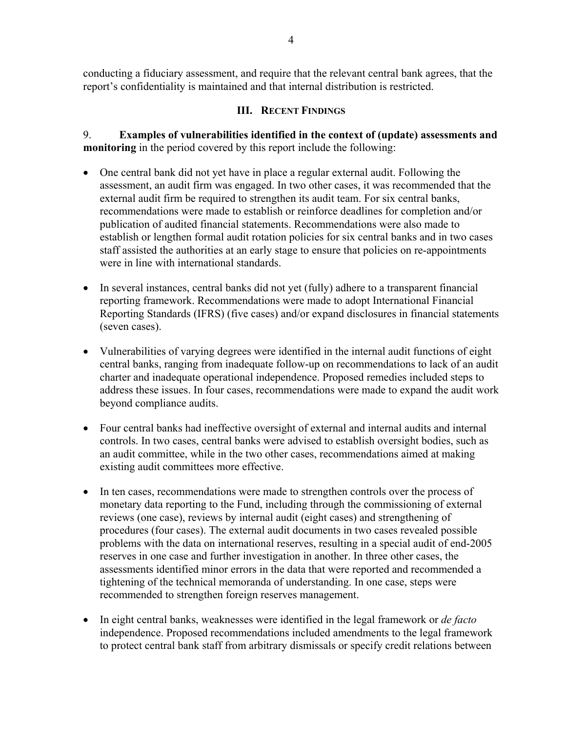conducting a fiduciary assessment, and require that the relevant central bank agrees, that the report's confidentiality is maintained and that internal distribution is restricted.

### **III. RECENT FINDINGS**

9. **Examples of vulnerabilities identified in the context of (update) assessments and monitoring** in the period covered by this report include the following:

- One central bank did not yet have in place a regular external audit. Following the assessment, an audit firm was engaged. In two other cases, it was recommended that the external audit firm be required to strengthen its audit team. For six central banks, recommendations were made to establish or reinforce deadlines for completion and/or publication of audited financial statements. Recommendations were also made to establish or lengthen formal audit rotation policies for six central banks and in two cases staff assisted the authorities at an early stage to ensure that policies on re-appointments were in line with international standards.
- In several instances, central banks did not yet (fully) adhere to a transparent financial reporting framework. Recommendations were made to adopt International Financial Reporting Standards (IFRS) (five cases) and/or expand disclosures in financial statements (seven cases).
- Vulnerabilities of varying degrees were identified in the internal audit functions of eight central banks, ranging from inadequate follow-up on recommendations to lack of an audit charter and inadequate operational independence. Proposed remedies included steps to address these issues. In four cases, recommendations were made to expand the audit work beyond compliance audits.
- Four central banks had ineffective oversight of external and internal audits and internal controls. In two cases, central banks were advised to establish oversight bodies, such as an audit committee, while in the two other cases, recommendations aimed at making existing audit committees more effective.
- In ten cases, recommendations were made to strengthen controls over the process of monetary data reporting to the Fund, including through the commissioning of external reviews (one case), reviews by internal audit (eight cases) and strengthening of procedures (four cases). The external audit documents in two cases revealed possible problems with the data on international reserves, resulting in a special audit of end-2005 reserves in one case and further investigation in another. In three other cases, the assessments identified minor errors in the data that were reported and recommended a tightening of the technical memoranda of understanding. In one case, steps were recommended to strengthen foreign reserves management.
- In eight central banks, weaknesses were identified in the legal framework or *de facto* independence. Proposed recommendations included amendments to the legal framework to protect central bank staff from arbitrary dismissals or specify credit relations between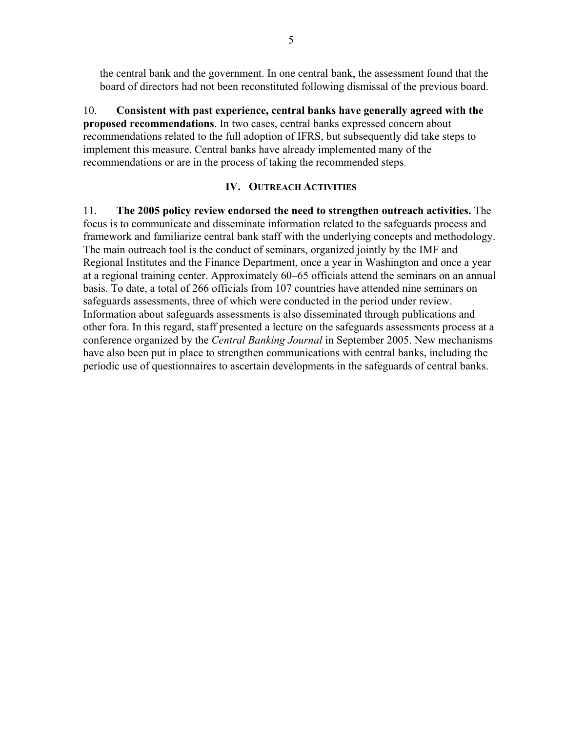the central bank and the government. In one central bank, the assessment found that the board of directors had not been reconstituted following dismissal of the previous board.

10. **Consistent with past experience, central banks have generally agreed with the proposed recommendations**. In two cases, central banks expressed concern about recommendations related to the full adoption of IFRS, but subsequently did take steps to implement this measure. Central banks have already implemented many of the recommendations or are in the process of taking the recommended steps.

#### **IV. OUTREACH ACTIVITIES**

11. **The 2005 policy review endorsed the need to strengthen outreach activities.** The focus is to communicate and disseminate information related to the safeguards process and framework and familiarize central bank staff with the underlying concepts and methodology. The main outreach tool is the conduct of seminars, organized jointly by the IMF and Regional Institutes and the Finance Department, once a year in Washington and once a year at a regional training center. Approximately 60–65 officials attend the seminars on an annual basis. To date, a total of 266 officials from 107 countries have attended nine seminars on safeguards assessments, three of which were conducted in the period under review. Information about safeguards assessments is also disseminated through publications and other fora. In this regard, staff presented a lecture on the safeguards assessments process at a conference organized by the *Central Banking Journal* in September 2005. New mechanisms have also been put in place to strengthen communications with central banks, including the periodic use of questionnaires to ascertain developments in the safeguards of central banks.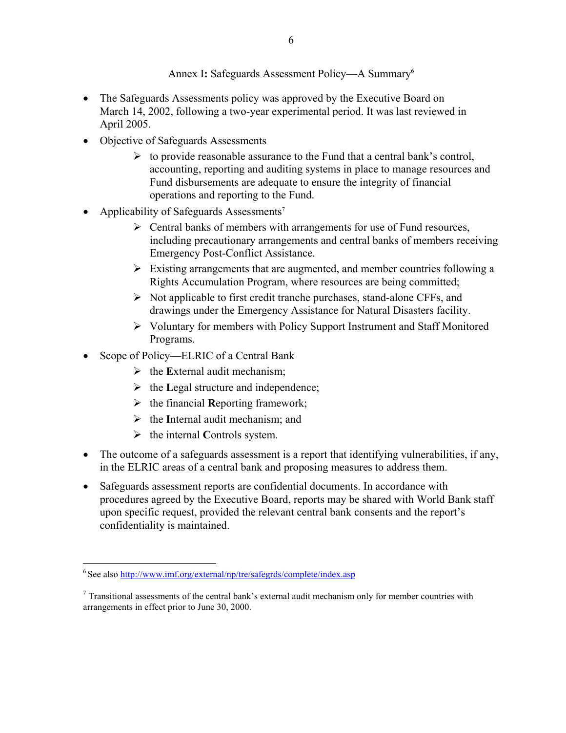### Annex I**:** Safeguards Assessment Policy—A Summary**<sup>6</sup>**

- The Safeguards Assessments policy was approved by the Executive Board on March 14, 2002, following a two-year experimental period. It was last reviewed in April 2005.
- Objective of Safeguards Assessments
	- $\triangleright$  to provide reasonable assurance to the Fund that a central bank's control, accounting, reporting and auditing systems in place to manage resources and Fund disbursements are adequate to ensure the integrity of financial operations and reporting to the Fund.
- Applicability of Safeguards Assessments<sup>7</sup>
	- $\triangleright$  Central banks of members with arrangements for use of Fund resources, including precautionary arrangements and central banks of members receiving Emergency Post-Conflict Assistance.
	- $\triangleright$  Existing arrangements that are augmented, and member countries following a Rights Accumulation Program, where resources are being committed;
	- $\triangleright$  Not applicable to first credit tranche purchases, stand-alone CFFs, and drawings under the Emergency Assistance for Natural Disasters facility.
	- ¾ Voluntary for members with Policy Support Instrument and Staff Monitored Programs.
- Scope of Policy—ELRIC of a Central Bank
	- ¾ the **E**xternal audit mechanism;
	- ¾ the **L**egal structure and independence;
	- ¾ the financial **R**eporting framework;
	- ¾ the **I**nternal audit mechanism; and
	- ¾ the internal **C**ontrols system.
- The outcome of a safeguards assessment is a report that identifying vulnerabilities, if any, in the ELRIC areas of a central bank and proposing measures to address them.
- Safeguards assessment reports are confidential documents. In accordance with procedures agreed by the Executive Board, reports may be shared with World Bank staff upon specific request, provided the relevant central bank consents and the report's confidentiality is maintained.

 $\overline{a}$ 

<sup>6</sup> See also http://www.imf.org/external/np/tre/safegrds/complete/index.asp

 $7$  Transitional assessments of the central bank's external audit mechanism only for member countries with arrangements in effect prior to June 30, 2000.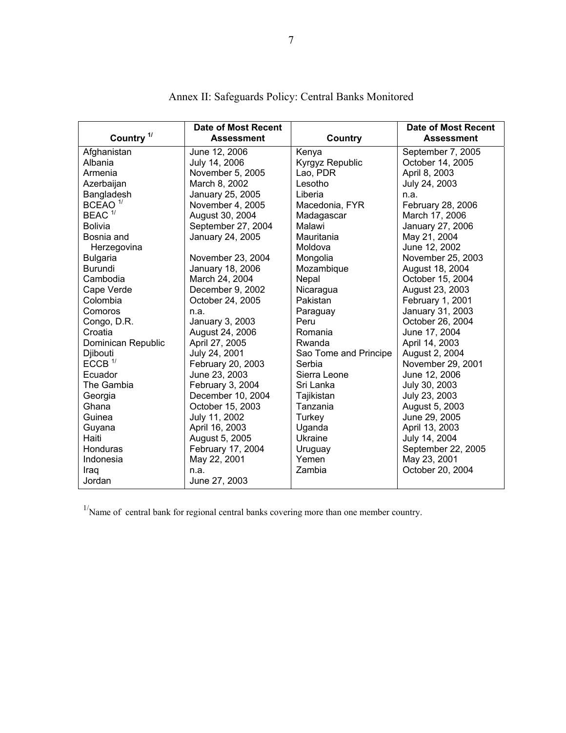| Country <sup>1/</sup> | <b>Date of Most Recent</b><br><b>Assessment</b> | Country               | <b>Date of Most Recent</b><br><b>Assessment</b> |
|-----------------------|-------------------------------------------------|-----------------------|-------------------------------------------------|
| Afghanistan           | June 12, 2006                                   | Kenya                 | September 7, 2005                               |
| Albania               | July 14, 2006                                   | Kyrgyz Republic       | October 14, 2005                                |
| Armenia               | November 5, 2005                                | Lao, PDR              | April 8, 2003                                   |
| Azerbaijan            | March 8, 2002                                   | Lesotho               | July 24, 2003                                   |
| Bangladesh            | January 25, 2005                                | Liberia               | n.a.                                            |
| BCEAO $1$             | November 4, 2005                                | Macedonia, FYR        | February 28, 2006                               |
| $BEAC$ <sup>1/</sup>  | August 30, 2004                                 | Madagascar            | March 17, 2006                                  |
| <b>Bolivia</b>        | September 27, 2004                              | Malawi                | January 27, 2006                                |
| Bosnia and            | January 24, 2005                                | Mauritania            | May 21, 2004                                    |
| Herzegovina           |                                                 | Moldova               | June 12, 2002                                   |
| <b>Bulgaria</b>       | November 23, 2004                               | Mongolia              | November 25, 2003                               |
| Burundi               | January 18, 2006                                | Mozambique            | August 18, 2004                                 |
| Cambodia              | March 24, 2004                                  | Nepal                 | October 15, 2004                                |
| Cape Verde            | December 9, 2002                                | Nicaragua             | August 23, 2003                                 |
| Colombia              | October 24, 2005                                | <b>Pakistan</b>       | February 1, 2001                                |
| Comoros               | n.a.                                            | Paraguay              | January 31, 2003                                |
| Congo, D.R.           | January 3, 2003                                 | Peru                  | October 26, 2004                                |
| Croatia               | August 24, 2006                                 | Romania               | June 17, 2004                                   |
| Dominican Republic    | April 27, 2005                                  | Rwanda                | April 14, 2003                                  |
| Djibouti              | July 24, 2001                                   | Sao Tome and Principe | August 2, 2004                                  |
| ECCB <sup>1</sup>     | February 20, 2003                               | Serbia                | November 29, 2001                               |
| Ecuador               | June 23, 2003                                   | Sierra Leone          | June 12, 2006                                   |
| The Gambia            | February 3, 2004                                | Sri Lanka             | July 30, 2003                                   |
| Georgia               | December 10, 2004                               | Tajikistan            | July 23, 2003                                   |
| Ghana                 | October 15, 2003                                | Tanzania              | August 5, 2003                                  |
| Guinea                | July 11, 2002                                   | Turkey                | June 29, 2005                                   |
| Guyana                | April 16, 2003                                  | Uganda                | April 13, 2003                                  |
| Haiti                 | August 5, 2005                                  | Ukraine               | July 14, 2004                                   |
| Honduras              | February 17, 2004                               | Uruguay               | September 22, 2005                              |
| Indonesia             | May 22, 2001                                    | Yemen                 | May 23, 2001                                    |
| Iraq                  | n.a.                                            | Zambia                | October 20, 2004                                |
| Jordan                | June 27, 2003                                   |                       |                                                 |

Annex II: Safeguards Policy: Central Banks Monitored

 $1/\sqrt{N}$ ame of central bank for regional central banks covering more than one member country.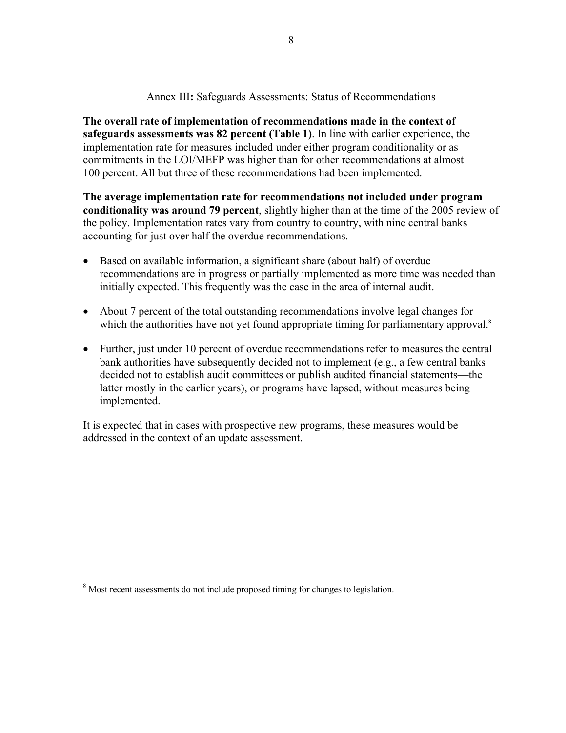#### Annex III**:** Safeguards Assessments: Status of Recommendations

**The overall rate of implementation of recommendations made in the context of safeguards assessments was 82 percent (Table 1)**. In line with earlier experience, the implementation rate for measures included under either program conditionality or as commitments in the LOI/MEFP was higher than for other recommendations at almost 100 percent. All but three of these recommendations had been implemented.

**The average implementation rate for recommendations not included under program conditionality was around 79 percent**, slightly higher than at the time of the 2005 review of the policy. Implementation rates vary from country to country, with nine central banks accounting for just over half the overdue recommendations.

- Based on available information, a significant share (about half) of overdue recommendations are in progress or partially implemented as more time was needed than initially expected. This frequently was the case in the area of internal audit.
- About 7 percent of the total outstanding recommendations involve legal changes for which the authorities have not yet found appropriate timing for parliamentary approval.<sup>8</sup>
- Further, just under 10 percent of overdue recommendations refer to measures the central bank authorities have subsequently decided not to implement (e.g., a few central banks decided not to establish audit committees or publish audited financial statements—the latter mostly in the earlier years), or programs have lapsed, without measures being implemented.

It is expected that in cases with prospective new programs, these measures would be addressed in the context of an update assessment.

<sup>&</sup>lt;sup>8</sup> Most recent assessments do not include proposed timing for changes to legislation.